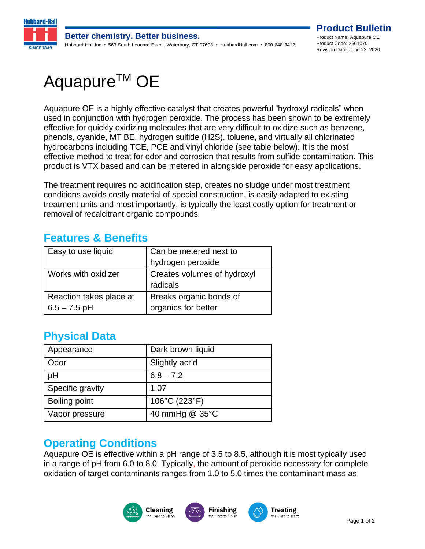

# Aquapure<sup>™</sup> OE

Aquapure OE is a highly effective catalyst that creates powerful "hydroxyl radicals" when used in conjunction with hydrogen peroxide. The process has been shown to be extremely effective for quickly oxidizing molecules that are very difficult to oxidize such as benzene, phenols, cyanide, MT BE, hydrogen sulfide (H2S), toluene, and virtually all chlorinated hydrocarbons including TCE, PCE and vinyl chloride (see table below). It is the most effective method to treat for odor and corrosion that results from sulfide contamination. This product is VTX based and can be metered in alongside peroxide for easy applications.

The treatment requires no acidification step, creates no sludge under most treatment conditions avoids costly material of special construction, is easily adapted to existing treatment units and most importantly, is typically the least costly option for treatment or removal of recalcitrant organic compounds.

#### **Features & Benefits**

| Easy to use liquid      | Can be metered next to      |
|-------------------------|-----------------------------|
|                         | hydrogen peroxide           |
| Works with oxidizer     | Creates volumes of hydroxyl |
|                         | radicals                    |
| Reaction takes place at | Breaks organic bonds of     |
| $6.5 - 7.5$ pH          | organics for better         |

#### **Physical Data**

| Appearance       | Dark brown liquid |
|------------------|-------------------|
| Odor             | Slightly acrid    |
| pH               | $6.8 - 7.2$       |
| Specific gravity | 1.07              |
| Boiling point    | 106°C (223°F)     |
| Vapor pressure   | 40 mmHg @ 35°C    |

#### **Operating Conditions**

Aquapure OE is effective within a pH range of 3.5 to 8.5, although it is most typically used in a range of pH from 6.0 to 8.0. Typically, the amount of peroxide necessary for complete oxidation of target contaminants ranges from 1.0 to 5.0 times the contaminant mass as